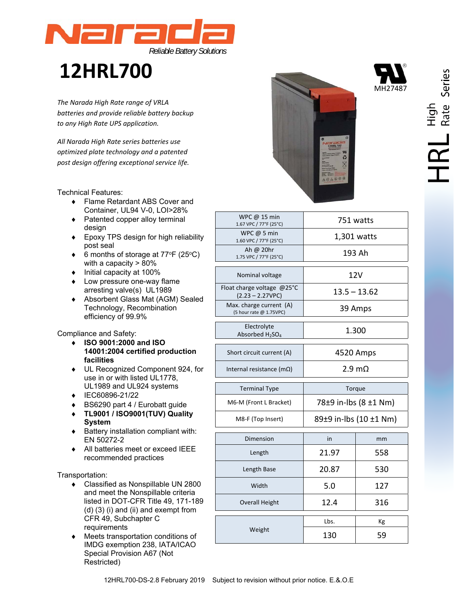

# **12HRL700**

*The Narada High Rate range of VRLA batteries and provide reliable battery backup to any High Rate UPS application.* 

 *All Narada High Rate series batteries use optimized plate technology and a patented post design offering exceptional service life.* 

Technical Features:

- ◆ Flame Retardant ABS Cover and Container, UL94 V-0, LOI>28%
- ◆ Patented copper alloy terminal design
- ◆ Epoxy TPS design for high reliability post seal
- $\bullet$  6 months of storage at 77°F (25°C) with a capacity > 80%
- $\bullet$  Initial capacity at 100%
- Low pressure one-way flame arresting valve(s) UL1989
- Absorbent Glass Mat (AGM) Sealed Technology, Recombination efficiency of 99.9%

Compliance and Safety:

- **ISO 9001:2000 and ISO 14001:2004 certified production facilities**
- UL Recognized Component 924, for use in or with listed UL1778, UL1989 and UL924 systems
- ◆ IEC60896-21/22
- BS6290 part 4 / Eurobatt guide
- **TL9001 / ISO9001(TUV) Quality System**
- $\bullet$  Battery installation compliant with: EN 50272-2
- All batteries meet or exceed IEEE recommended practices

Transportation:

- ◆ Classified as Nonspillable UN 2800 and meet the Nonspillable criteria listed in DOT-CFR Title 49, 171-189 (d) (3) (i) and (ii) and exempt from CFR 49, Subchapter C requirements
- Meets transportation conditions of IMDG exemption 238, IATA/ICAO Special Provision A67 (Not Restricted)



| WPC @ 15 min<br>1.67 VPC / 77°F (25°C)                 | 751 watts              |             |  |  |  |
|--------------------------------------------------------|------------------------|-------------|--|--|--|
| WPC@5 min<br>1.60 VPC / 77°F (25°C)                    |                        | 1,301 watts |  |  |  |
| Ah @ 20hr<br>1.75 VPC / 77°F (25°C)                    | 193 Ah                 |             |  |  |  |
| Nominal voltage                                        | 12V                    |             |  |  |  |
| Float charge voltage @25°C<br>$(2.23 - 2.27VPC)$       | $13.5 - 13.62$         |             |  |  |  |
| Max. charge current (A)<br>(5 hour rate @ 1.75VPC)     | 39 Amps                |             |  |  |  |
| Electrolyte<br>Absorbed H <sub>2</sub> SO <sub>4</sub> | 1.300                  |             |  |  |  |
| Short circuit current (A)                              | 4520 Amps              |             |  |  |  |
| Internal resistance (m $\Omega$ )                      | $2.9 \text{ m}\Omega$  |             |  |  |  |
| <b>Terminal Type</b>                                   | Torque                 |             |  |  |  |
| M6-M (Front L Bracket)                                 | 78±9 in-lbs (8 ±1 Nm)  |             |  |  |  |
| M8-F (Top Insert)                                      | 89±9 in-lbs (10 ±1 Nm) |             |  |  |  |
| Dimension                                              | in                     | mm          |  |  |  |
| Length                                                 | 21.97                  | 558         |  |  |  |
| Length Base                                            | 20.87                  | 530         |  |  |  |
| Width                                                  | 5.0                    | 127         |  |  |  |
| <b>Overall Height</b>                                  | 12.4                   | 316         |  |  |  |
|                                                        |                        |             |  |  |  |
|                                                        | Lbs.                   | Кg          |  |  |  |